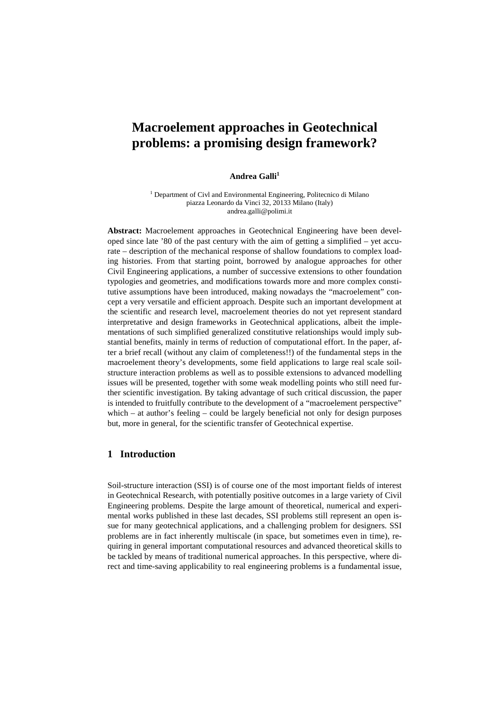# **Macroelement approaches in Geotechnical problems: a promising design framework?**

#### **Andrea Galli<sup>1</sup>**

<sup>1</sup> Department of Civl and Environmental Engineering, Politecnico di Milano piazza Leonardo da Vinci 32, 20133 Milano (Italy) andrea.galli@polimi.it

**Abstract:** Macroelement approaches in Geotechnical Engineering have been developed since late '80 of the past century with the aim of getting a simplified – yet accurate – description of the mechanical response of shallow foundations to complex loading histories. From that starting point, borrowed by analogue approaches for other Civil Engineering applications, a number of successive extensions to other foundation typologies and geometries, and modifications towards more and more complex constitutive assumptions have been introduced, making nowadays the "macroelement" concept a very versatile and efficient approach. Despite such an important development at the scientific and research level, macroelement theories do not yet represent standard interpretative and design frameworks in Geotechnical applications, albeit the implementations of such simplified generalized constitutive relationships would imply substantial benefits, mainly in terms of reduction of computational effort. In the paper, after a brief recall (without any claim of completeness!!) of the fundamental steps in the macroelement theory's developments, some field applications to large real scale soilstructure interaction problems as well as to possible extensions to advanced modelling issues will be presented, together with some weak modelling points who still need further scientific investigation. By taking advantage of such critical discussion, the paper is intended to fruitfully contribute to the development of a "macroelement perspective" which – at author's feeling – could be largely beneficial not only for design purposes but, more in general, for the scientific transfer of Geotechnical expertise.

## **1 Introduction**

Soil-structure interaction (SSI) is of course one of the most important fields of interest in Geotechnical Research, with potentially positive outcomes in a large variety of Civil Engineering problems. Despite the large amount of theoretical, numerical and experimental works published in these last decades, SSI problems still represent an open issue for many geotechnical applications, and a challenging problem for designers. SSI problems are in fact inherently multiscale (in space, but sometimes even in time), requiring in general important computational resources and advanced theoretical skills to be tackled by means of traditional numerical approaches. In this perspective, where direct and time-saving applicability to real engineering problems is a fundamental issue,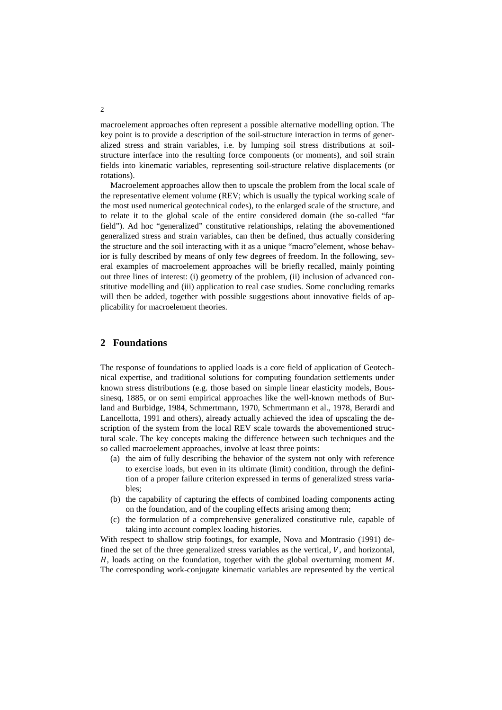macroelement approaches often represent a possible alternative modelling option. The key point is to provide a description of the soil-structure interaction in terms of generalized stress and strain variables, i.e. by lumping soil stress distributions at soilstructure interface into the resulting force components (or moments), and soil strain fields into kinematic variables, representing soil-structure relative displacements (or rotations).

Macroelement approaches allow then to upscale the problem from the local scale of the representative element volume (REV; which is usually the typical working scale of the most used numerical geotechnical codes), to the enlarged scale of the structure, and to relate it to the global scale of the entire considered domain (the so-called "far field"). Ad hoc "generalized" constitutive relationships, relating the abovementioned generalized stress and strain variables, can then be defined, thus actually considering the structure and the soil interacting with it as a unique "macro"element, whose behavior is fully described by means of only few degrees of freedom. In the following, several examples of macroelement approaches will be briefly recalled, mainly pointing out three lines of interest: (i) geometry of the problem, (ii) inclusion of advanced constitutive modelling and (iii) application to real case studies. Some concluding remarks will then be added, together with possible suggestions about innovative fields of applicability for macroelement theories.

# **2 Foundations**

The response of foundations to applied loads is a core field of application of Geotechnical expertise, and traditional solutions for computing foundation settlements under known stress distributions (e.g. those based on simple linear elasticity models, Boussinesq, 1885, or on semi empirical approaches like the well-known methods of Burland and Burbidge, 1984, Schmertmann, 1970, Schmertmann et al., 1978, Berardi and Lancellotta, 1991 and others), already actually achieved the idea of upscaling the description of the system from the local REV scale towards the abovementioned structural scale. The key concepts making the difference between such techniques and the so called macroelement approaches, involve at least three points:

- (a) the aim of fully describing the behavior of the system not only with reference to exercise loads, but even in its ultimate (limit) condition, through the definition of a proper failure criterion expressed in terms of generalized stress variables;
- (b) the capability of capturing the effects of combined loading components acting on the foundation, and of the coupling effects arising among them;
- (c) the formulation of a comprehensive generalized constitutive rule, capable of taking into account complex loading histories.

With respect to shallow strip footings, for example, Nova and Montrasio (1991) defined the set of the three generalized stress variables as the vertical,  $V$ , and horizontal,  $H$ , loads acting on the foundation, together with the global overturning moment  $M$ . The corresponding work-conjugate kinematic variables are represented by the vertical

2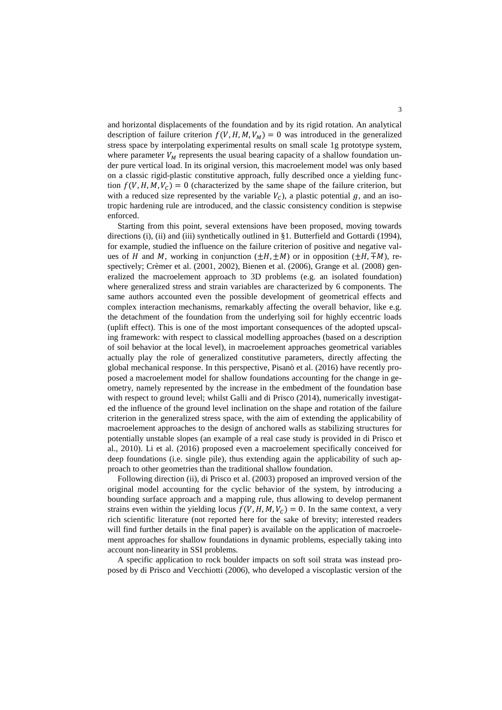and horizontal displacements of the foundation and by its rigid rotation. An analytical description of failure criterion  $f(V, H, M, V_M) = 0$  was introduced in the generalized stress space by interpolating experimental results on small scale 1g prototype system, where parameter  $V_M$  represents the usual bearing capacity of a shallow foundation under pure vertical load. In its original version, this macroelement model was only based on a classic rigid-plastic constitutive approach, fully described once a yielding function  $f(V, H, M, V_c) = 0$  (characterized by the same shape of the failure criterion, but with a reduced size represented by the variable  $V_c$ ), a plastic potential g, and an isotropic hardening rule are introduced, and the classic consistency condition is stepwise enforced.

Starting from this point, several extensions have been proposed, moving towards directions (i), (ii) and (iii) synthetically outlined in §1. Butterfield and Gottardi (1994), for example, studied the influence on the failure criterion of positive and negative values of H and M, working in conjunction  $(\pm H, \pm M)$  or in opposition  $(\pm H, \mp M)$ , respectively; Crèmer et al. (2001, 2002), Bienen et al. (2006), Grange et al. (2008) generalized the macroelement approach to 3D problems (e.g. an isolated foundation) where generalized stress and strain variables are characterized by 6 components. The same authors accounted even the possible development of geometrical effects and complex interaction mechanisms, remarkably affecting the overall behavior, like e.g. the detachment of the foundation from the underlying soil for highly eccentric loads (uplift effect). This is one of the most important consequences of the adopted upscaling framework: with respect to classical modelling approaches (based on a description of soil behavior at the local level), in macroelement approaches geometrical variables actually play the role of generalized constitutive parameters, directly affecting the global mechanical response. In this perspective, Pisanò et al. (2016) have recently proposed a macroelement model for shallow foundations accounting for the change in geometry, namely represented by the increase in the embedment of the foundation base with respect to ground level; whilst Galli and di Prisco (2014), numerically investigated the influence of the ground level inclination on the shape and rotation of the failure criterion in the generalized stress space, with the aim of extending the applicability of macroelement approaches to the design of anchored walls as stabilizing structures for potentially unstable slopes (an example of a real case study is provided in di Prisco et al., 2010). Li et al. (2016) proposed even a macroelement specifically conceived for deep foundations (i.e. single pile), thus extending again the applicability of such approach to other geometries than the traditional shallow foundation.

Following direction (ii), di Prisco et al. (2003) proposed an improved version of the original model accounting for the cyclic behavior of the system, by introducing a bounding surface approach and a mapping rule, thus allowing to develop permanent strains even within the yielding locus  $f(V, H, M, V_C) = 0$ . In the same context, a very rich scientific literature (not reported here for the sake of brevity; interested readers will find further details in the final paper) is available on the application of macroelement approaches for shallow foundations in dynamic problems, especially taking into account non-linearity in SSI problems.

A specific application to rock boulder impacts on soft soil strata was instead proposed by di Prisco and Vecchiotti (2006), who developed a viscoplastic version of the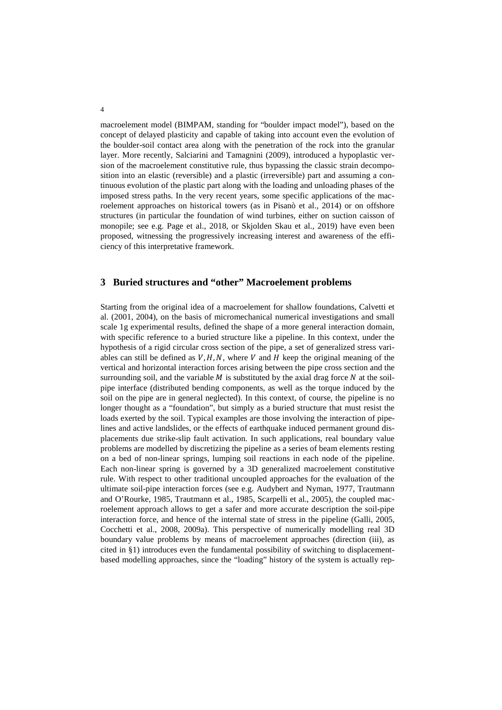macroelement model (BIMPAM, standing for "boulder impact model"), based on the concept of delayed plasticity and capable of taking into account even the evolution of the boulder-soil contact area along with the penetration of the rock into the granular layer. More recently, Salciarini and Tamagnini (2009), introduced a hypoplastic version of the macroelement constitutive rule, thus bypassing the classic strain decomposition into an elastic (reversible) and a plastic (irreversible) part and assuming a continuous evolution of the plastic part along with the loading and unloading phases of the imposed stress paths. In the very recent years, some specific applications of the macroelement approaches on historical towers (as in Pisanò et al., 2014) or on offshore structures (in particular the foundation of wind turbines, either on suction caisson of monopile; see e.g. Page et al., 2018, or Skjolden Skau et al., 2019) have even been proposed, witnessing the progressively increasing interest and awareness of the efficiency of this interpretative framework.

# **3 Buried structures and "other" Macroelement problems**

Starting from the original idea of a macroelement for shallow foundations, Calvetti et al. (2001, 2004), on the basis of micromechanical numerical investigations and small scale 1g experimental results, defined the shape of a more general interaction domain, with specific reference to a buried structure like a pipeline. In this context, under the hypothesis of a rigid circular cross section of the pipe, a set of generalized stress variables can still be defined as  $V, H, N$ , where  $V$  and  $H$  keep the original meaning of the vertical and horizontal interaction forces arising between the pipe cross section and the surrounding soil, and the variable  $M$  is substituted by the axial drag force  $N$  at the soilpipe interface (distributed bending components, as well as the torque induced by the soil on the pipe are in general neglected). In this context, of course, the pipeline is no longer thought as a "foundation", but simply as a buried structure that must resist the loads exerted by the soil. Typical examples are those involving the interaction of pipelines and active landslides, or the effects of earthquake induced permanent ground displacements due strike-slip fault activation. In such applications, real boundary value problems are modelled by discretizing the pipeline as a series of beam elements resting on a bed of non-linear springs, lumping soil reactions in each node of the pipeline. Each non-linear spring is governed by a 3D generalized macroelement constitutive rule. With respect to other traditional uncoupled approaches for the evaluation of the ultimate soil-pipe interaction forces (see e.g. Audybert and Nyman, 1977, Trautmann and O'Rourke, 1985, Trautmann et al., 1985, Scarpelli et al., 2005), the coupled macroelement approach allows to get a safer and more accurate description the soil-pipe interaction force, and hence of the internal state of stress in the pipeline (Galli, 2005, Cocchetti et al., 2008, 2009a). This perspective of numerically modelling real 3D boundary value problems by means of macroelement approaches (direction (iii), as cited in §1) introduces even the fundamental possibility of switching to displacementbased modelling approaches, since the "loading" history of the system is actually rep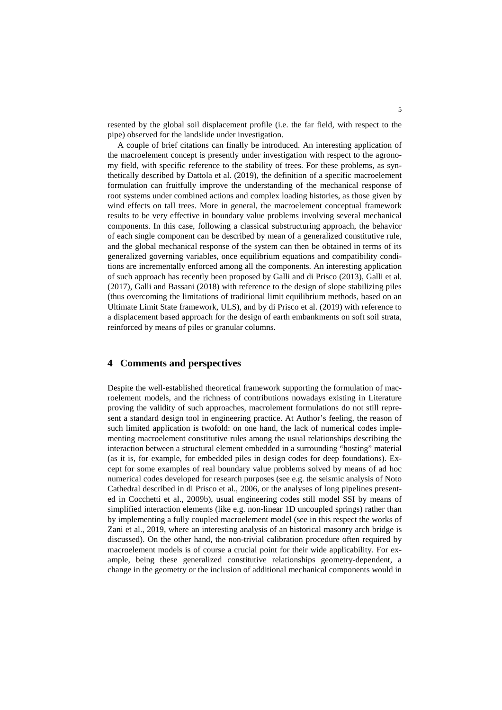resented by the global soil displacement profile (i.e. the far field, with respect to the pipe) observed for the landslide under investigation.

A couple of brief citations can finally be introduced. An interesting application of the macroelement concept is presently under investigation with respect to the agronomy field, with specific reference to the stability of trees. For these problems, as synthetically described by Dattola et al. (2019), the definition of a specific macroelement formulation can fruitfully improve the understanding of the mechanical response of root systems under combined actions and complex loading histories, as those given by wind effects on tall trees. More in general, the macroelement conceptual framework results to be very effective in boundary value problems involving several mechanical components. In this case, following a classical substructuring approach, the behavior of each single component can be described by mean of a generalized constitutive rule, and the global mechanical response of the system can then be obtained in terms of its generalized governing variables, once equilibrium equations and compatibility conditions are incrementally enforced among all the components. An interesting application of such approach has recently been proposed by Galli and di Prisco (2013), Galli et al. (2017), Galli and Bassani (2018) with reference to the design of slope stabilizing piles (thus overcoming the limitations of traditional limit equilibrium methods, based on an Ultimate Limit State framework, ULS), and by di Prisco et al. (2019) with reference to a displacement based approach for the design of earth embankments on soft soil strata, reinforced by means of piles or granular columns.

### **4 Comments and perspectives**

Despite the well-established theoretical framework supporting the formulation of macroelement models, and the richness of contributions nowadays existing in Literature proving the validity of such approaches, macrolement formulations do not still represent a standard design tool in engineering practice. At Author's feeling, the reason of such limited application is twofold: on one hand, the lack of numerical codes implementing macroelement constitutive rules among the usual relationships describing the interaction between a structural element embedded in a surrounding "hosting" material (as it is, for example, for embedded piles in design codes for deep foundations). Except for some examples of real boundary value problems solved by means of ad hoc numerical codes developed for research purposes (see e.g. the seismic analysis of Noto Cathedral described in di Prisco et al., 2006, or the analyses of long pipelines presented in Cocchetti et al., 2009b), usual engineering codes still model SSI by means of simplified interaction elements (like e.g. non-linear 1D uncoupled springs) rather than by implementing a fully coupled macroelement model (see in this respect the works of Zani et al., 2019, where an interesting analysis of an historical masonry arch bridge is discussed). On the other hand, the non-trivial calibration procedure often required by macroelement models is of course a crucial point for their wide applicability. For example, being these generalized constitutive relationships geometry-dependent, a change in the geometry or the inclusion of additional mechanical components would in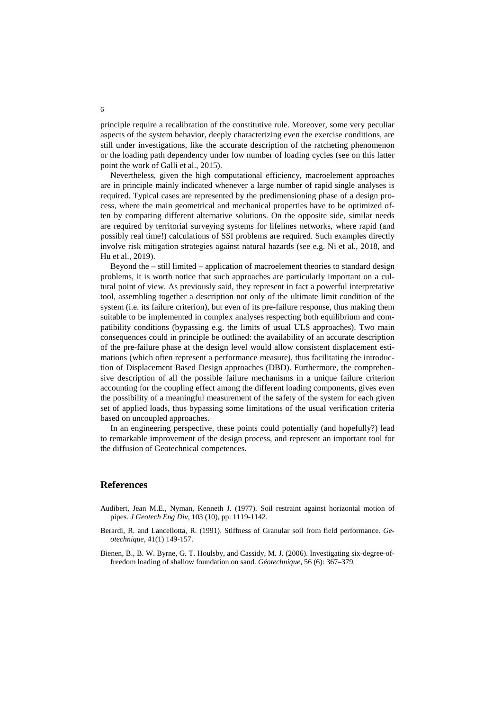principle require a recalibration of the constitutive rule. Moreover, some very peculiar aspects of the system behavior, deeply characterizing even the exercise conditions, are still under investigations, like the accurate description of the ratcheting phenomenon or the loading path dependency under low number of loading cycles (see on this latter point the work of Galli et al., 2015).

Nevertheless, given the high computational efficiency, macroelement approaches are in principle mainly indicated whenever a large number of rapid single analyses is required. Typical cases are represented by the predimensioning phase of a design process, where the main geometrical and mechanical properties have to be optimized often by comparing different alternative solutions. On the opposite side, similar needs are required by territorial surveying systems for lifelines networks, where rapid (and possibly real time!) calculations of SSI problems are required. Such examples directly involve risk mitigation strategies against natural hazards (see e.g. Ni et al., 2018, and Hu et al., 2019).

Beyond the – still limited – application of macroelement theories to standard design problems, it is worth notice that such approaches are particularly important on a cultural point of view. As previously said, they represent in fact a powerful interpretative tool, assembling together a description not only of the ultimate limit condition of the system (i.e. its failure criterion), but even of its pre-failure response, thus making them suitable to be implemented in complex analyses respecting both equilibrium and compatibility conditions (bypassing e.g. the limits of usual ULS approaches). Two main consequences could in principle be outlined: the availability of an accurate description of the pre-failure phase at the design level would allow consistent displacement estimations (which often represent a performance measure), thus facilitating the introduction of Displacement Based Design approaches (DBD). Furthermore, the comprehensive description of all the possible failure mechanisms in a unique failure criterion accounting for the coupling effect among the different loading components, gives even the possibility of a meaningful measurement of the safety of the system for each given set of applied loads, thus bypassing some limitations of the usual verification criteria based on uncoupled approaches.

In an engineering perspective, these points could potentially (and hopefully?) lead to remarkable improvement of the design process, and represent an important tool for the diffusion of Geotechnical competences.

### **References**

- Audibert, Jean M.E., Nyman, Kenneth J. (1977). Soil restraint against horizontal motion of pipes. *J Geotech Eng Div*, 103 (10), pp. 1119-1142.
- Berardi, R. and Lancellotta, R. (1991). Stiffness of Granular soil from field performance. *Geotechnique*, 41(1) 149-157.
- Bienen, B., B. W. Byrne, G. T. Houlsby, and Cassidy, M. J. (2006). Investigating six-degree-offreedom loading of shallow foundation on sand. *Géotechnique*, 56 (6): 367–379.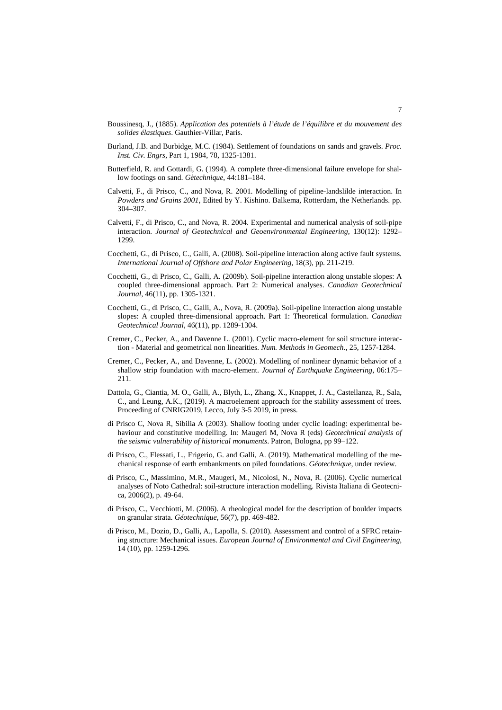- Boussinesq, J., (1885). *Application des potentiels à l'étude de l'équilibre et du mouvement des solides élastiques*. Gauthier-Villar, Paris.
- Burland, J.B. and Burbidge, M.C. (1984). Settlement of foundations on sands and gravels. *Proc. Inst. Civ. Engrs*, Part 1, 1984, 78, 1325-1381.
- Butterfield, R. and Gottardi, G. (1994). A complete three-dimensional failure envelope for shallow footings on sand. *Gètechnique*, 44:181–184.
- Calvetti, F., di Prisco, C., and Nova, R. 2001. Modelling of pipeline-landslilde interaction. In *Powders and Grains 2001*, Edited by Y. Kishino. Balkema, Rotterdam, the Netherlands. pp. 304–307.
- Calvetti, F., di Prisco, C., and Nova, R. 2004. Experimental and numerical analysis of soil-pipe interaction. *Journal of Geotechnical and Geoenvironmental Engineering*, 130(12): 1292– 1299.
- Cocchetti, G., di Prisco, C., Galli, A. (2008). Soil-pipeline interaction along active fault systems. *International Journal of Offshore and Polar Engineering*, 18(3), pp. 211-219.
- Cocchetti, G., di Prisco, C., Galli, A. (2009b). Soil-pipeline interaction along unstable slopes: A coupled three-dimensional approach. Part 2: Numerical analyses. *Canadian Geotechnical Journal*, 46(11), pp. 1305-1321.
- Cocchetti, G., di Prisco, C., Galli, A., Nova, R. (2009a). Soil-pipeline interaction along unstable slopes: A coupled three-dimensional approach. Part 1: Theoretical formulation. *Canadian Geotechnical Journal*, 46(11), pp. 1289-1304.
- Cremer, C., Pecker, A., and Davenne L. (2001). Cyclic macro-element for soil structure interaction - Material and geometrical non linearities. *Num. Methods in Geomech*., 25, 1257-1284.
- Cremer, C., Pecker, A., and Davenne, L. (2002). Modelling of nonlinear dynamic behavior of a shallow strip foundation with macro-element. *Journal of Earthquake Engineering*, 06:175– 211.
- Dattola, G., Ciantia, M. O., Galli, A., Blyth, L., Zhang, X., Knappet, J. A., Castellanza, R., Sala, C., and Leung, A.K., (2019). A macroelement approach for the stability assessment of trees. Proceeding of CNRIG2019, Lecco, July 3-5 2019, in press.
- di Prisco C, Nova R, Sibilia A (2003). Shallow footing under cyclic loading: experimental behaviour and constitutive modelling. In: Maugeri M, Nova R (eds) *Geotechnical analysis of the seismic vulnerability of historical monuments*. Patron, Bologna, pp 99–122.
- di Prisco, C., Flessati, L., Frigerio, G. and Galli, A. (2019). Mathematical modelling of the mechanical response of earth embankments on piled foundations. *Géotechnique*, under review.
- di Prisco, C., Massimino, M.R., Maugeri, M., Nicolosi, N., Nova, R. (2006). Cyclic numerical analyses of Noto Cathedral: soil-structure interaction modelling. Rivista Italiana di Geotecnica, 2006(2), p. 49-64.
- di Prisco, C., Vecchiotti, M. (2006). A rheological model for the description of boulder impacts on granular strata. *Géotechnique*, 56(7), pp. 469-482.
- di Prisco, M., Dozio, D., Galli, A., Lapolla, S. (2010). Assessment and control of a SFRC retaining structure: Mechanical issues. *European Journal of Environmental and Civil Engineering*, 14 (10), pp. 1259-1296.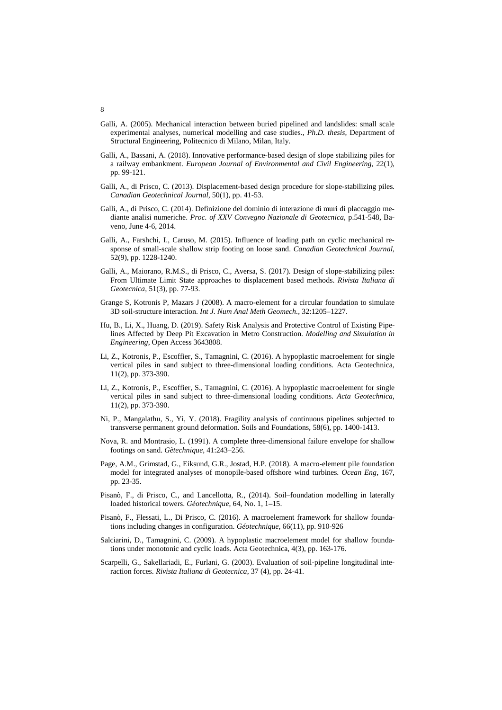- Galli, A. (2005). Mechanical interaction between buried pipelined and landslides: small scale experimental analyses, numerical modelling and case studies., *Ph.D. thesis*, Department of Structural Engineering, Politecnico di Milano, Milan, Italy.
- Galli, A., Bassani, A. (2018). Innovative performance-based design of slope stabilizing piles for a railway embankment. *European Journal of Environmental and Civil Engineering*, 22(1), pp. 99-121.
- Galli, A., di Prisco, C. (2013). Displacement-based design procedure for slope-stabilizing piles. *Canadian Geotechnical Journal*, 50(1), pp. 41-53.
- Galli, A., di Prisco, C. (2014). Definizione del dominio di interazione di muri di placcaggio mediante analisi numeriche. *Proc. of XXV Convegno Nazionale di Geotecnica*, p.541-548, Baveno, June 4-6, 2014.
- Galli, A., Farshchi, I., Caruso, M. (2015). Influence of loading path on cyclic mechanical response of small-scale shallow strip footing on loose sand. *Canadian Geotechnical Journal*, 52(9), pp. 1228-1240.
- Galli, A., Maiorano, R.M.S., di Prisco, C., Aversa, S. (2017). Design of slope-stabilizing piles: From Ultimate Limit State approaches to displacement based methods. *Rivista Italiana di Geotecnica*, 51(3), pp. 77-93.
- Grange S, Kotronis P, Mazars J (2008). A macro-element for a circular foundation to simulate 3D soil-structure interaction. *Int J. Num Anal Meth Geomech.*, 32:1205–1227.
- Hu, B., Li, X., Huang, D. (2019). Safety Risk Analysis and Protective Control of Existing Pipelines Affected by Deep Pit Excavation in Metro Construction. *Modelling and Simulation in Engineering*, Open Access 3643808.
- Li, Z., Kotronis, P., Escoffier, S., Tamagnini, C. (2016). A hypoplastic macroelement for single vertical piles in sand subject to three-dimensional loading conditions. Acta Geotechnica, 11(2), pp. 373-390.
- Li, Z., Kotronis, P., Escoffier, S., Tamagnini, C. (2016). A hypoplastic macroelement for single vertical piles in sand subject to three-dimensional loading conditions. *Acta Geotechnica*, 11(2), pp. 373-390.
- Ni, P., Mangalathu, S., Yi, Y. (2018). Fragility analysis of continuous pipelines subjected to transverse permanent ground deformation. Soils and Foundations, 58(6), pp. 1400-1413.
- Nova, R. and Montrasio, L. (1991). A complete three-dimensional failure envelope for shallow footings on sand. *Gètechnique*, 41:243–256.
- Page, A.M., Grimstad, G., Eiksund, G.R., Jostad, H.P. (2018). A macro-element pile foundation model for integrated analyses of monopile-based offshore wind turbines. *Ocean Eng*, 167, pp. 23-35.
- Pisanò, F., di Prisco, C., and Lancellotta, R., (2014). Soil–foundation modelling in laterally loaded historical towers. *Géotechnique*, 64, No. 1, 1–15.
- Pisanò, F., Flessati, L., Di Prisco, C. (2016). A macroelement framework for shallow foundations including changes in configuration. *Géotechnique*, 66(11), pp. 910-926
- Salciarini, D., Tamagnini, C. (2009). A hypoplastic macroelement model for shallow foundations under monotonic and cyclic loads. Acta Geotechnica, 4(3), pp. 163-176.
- Scarpelli, G., Sakellariadi, E., Furlani, G. (2003). Evaluation of soil-pipeline longitudinal interaction forces. *Rivista Italiana di Geotecnica*, 37 (4), pp. 24-41.